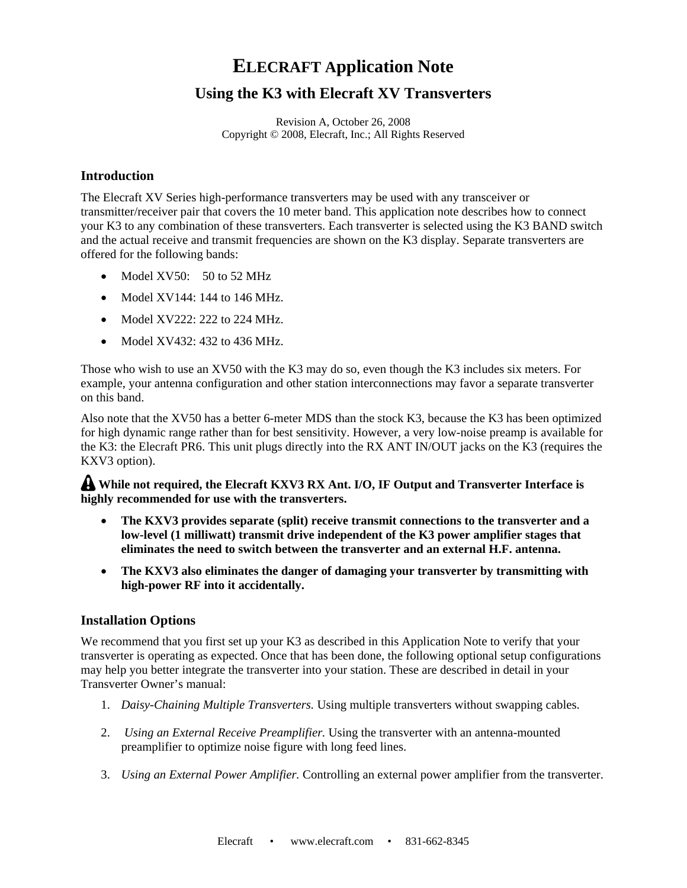# **ELECRAFT Application Note**

## **Using the K3 with Elecraft XV Transverters**

Revision A, October 26, 2008 Copyright © 2008, Elecraft, Inc.; All Rights Reserved

#### **Introduction**

The Elecraft XV Series high-performance transverters may be used with any transceiver or transmitter/receiver pair that covers the 10 meter band. This application note describes how to connect your K3 to any combination of these transverters. Each transverter is selected using the K3 BAND switch and the actual receive and transmit frequencies are shown on the K3 display. Separate transverters are offered for the following bands:

- Model XV50: 50 to 52 MHz
- $\bullet$  Model XV144: 144 to 146 MHz.
- Model XV222: 222 to 224 MHz.
- Model XV432: 432 to 436 MHz.

Those who wish to use an XV50 with the K3 may do so, even though the K3 includes six meters. For example, your antenna configuration and other station interconnections may favor a separate transverter on this band.

Also note that the XV50 has a better 6-meter MDS than the stock K3, because the K3 has been optimized for high dynamic range rather than for best sensitivity. However, a very low-noise preamp is available for the K3: the Elecraft PR6. This unit plugs directly into the RX ANT IN/OUT jacks on the K3 (requires the KXV3 option).

#### **While not required, the Elecraft KXV3 RX Ant. I/O, IF Output and Transverter Interface is highly recommended for use with the transverters.**

- **The KXV3 provides separate (split) receive transmit connections to the transverter and a low-level (1 milliwatt) transmit drive independent of the K3 power amplifier stages that eliminates the need to switch between the transverter and an external H.F. antenna.**
- **The KXV3 also eliminates the danger of damaging your transverter by transmitting with high-power RF into it accidentally.**

#### **Installation Options**

We recommend that you first set up your K3 as described in this Application Note to verify that your transverter is operating as expected. Once that has been done, the following optional setup configurations may help you better integrate the transverter into your station. These are described in detail in your Transverter Owner's manual:

- 1. *Daisy-Chaining Multiple Transverters.* Using multiple transverters without swapping cables.
- 2. *Using an External Receive Preamplifier.* Using the transverter with an antenna-mounted preamplifier to optimize noise figure with long feed lines.
- 3. *Using an External Power Amplifier.* Controlling an external power amplifier from the transverter.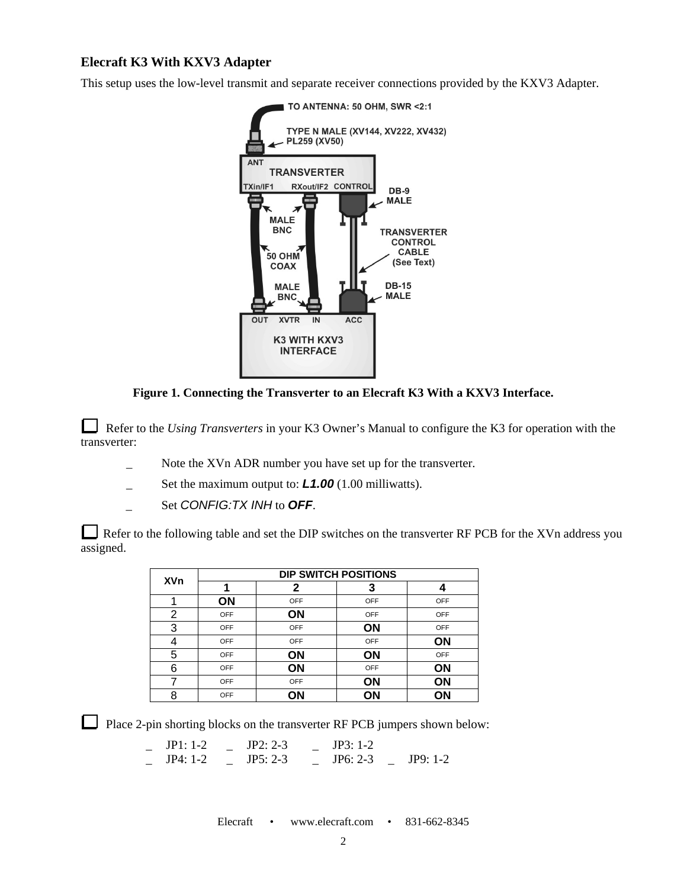### **Elecraft K3 With KXV3 Adapter**

This setup uses the low-level transmit and separate receiver connections provided by the KXV3 Adapter.



**Figure 1. Connecting the Transverter to an Elecraft K3 With a KXV3 Interface.** 

Refer to the *Using Transverters* in your K3 Owner's Manual to configure the K3 for operation with the transverter:

- Note the XVn ADR number you have set up for the transverter.
- Set the maximum output to: *L1.00* (1.00 milliwatts).
- Set *CONFIG:TX INH* to **OFF.**

Refer to the following table and set the DIP switches on the transverter RF PCB for the XVn address you assigned.

|            | <b>DIP SWITCH POSITIONS</b> |            |           |     |  |
|------------|-----------------------------|------------|-----------|-----|--|
| <b>XVn</b> |                             | 2          | 3         |     |  |
|            | ON                          | OFF        | OFF       | OFF |  |
| 2          | OFF                         | ΟN         | OFF       | OFF |  |
| 3          | <b>OFF</b>                  | OFF        | <b>ON</b> | OFF |  |
| 4          | <b>OFF</b>                  | <b>OFF</b> | OFF       | ON  |  |
| 5          | <b>OFF</b>                  | ΟN         | ON        | OFF |  |
| 6          | <b>OFF</b>                  | ON         | OFF       | ON  |  |
|            | <b>OFF</b>                  | <b>OFF</b> | ON        | ΟN  |  |
| 8          | <b>OFF</b>                  | ΟN         | ΟN        | ΟN  |  |

Place 2-pin shorting blocks on the transverter RF PCB jumpers shown below:

\_ JP1: 1-2 \_ JP2: 2-3 \_ JP3: 1-2 \_ JP4: 1-2 \_ JP5: 2-3 \_ JP6: 2-3 \_ JP9: 1-2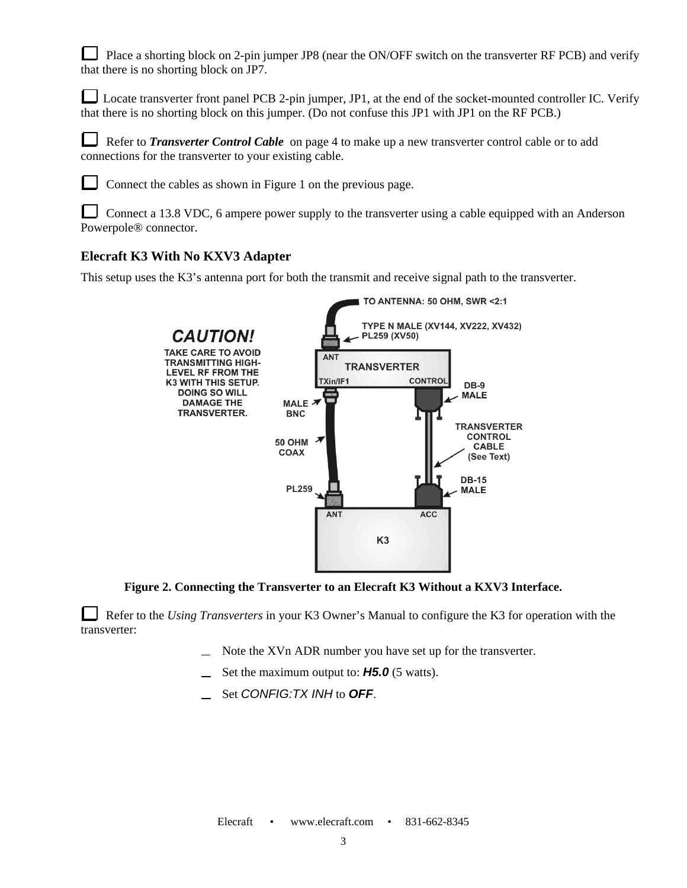Place a shorting block on 2-pin jumper JP8 (near the ON/OFF switch on the transverter RF PCB) and verify that there is no shorting block on JP7.

Locate transverter front panel PCB 2-pin jumper, JP1, at the end of the socket-mounted controller IC. Verify that there is no shorting block on this jumper. (Do not confuse this JP1 with JP1 on the RF PCB.)

 Refer to *Transverter Control Cable* on page 4 to make up a new transverter control cable or to add connections for the transverter to your existing cable.

Connect the cables as shown in Figure 1 on the previous page.

 Connect a 13.8 VDC, 6 ampere power supply to the transverter using a cable equipped with an Anderson Powerpole® connector.

#### **Elecraft K3 With No KXV3 Adapter**

This setup uses the K3's antenna port for both the transmit and receive signal path to the transverter.



**Figure 2. Connecting the Transverter to an Elecraft K3 Without a KXV3 Interface.** 

Refer to the *Using Transverters* in your K3 Owner's Manual to configure the K3 for operation with the transverter:

- Note the XVn ADR number you have set up for the transverter.
- Set the maximum output to: *H5.0* (5 watts).
- Set *CONFIG:TX INH* to *OFF*.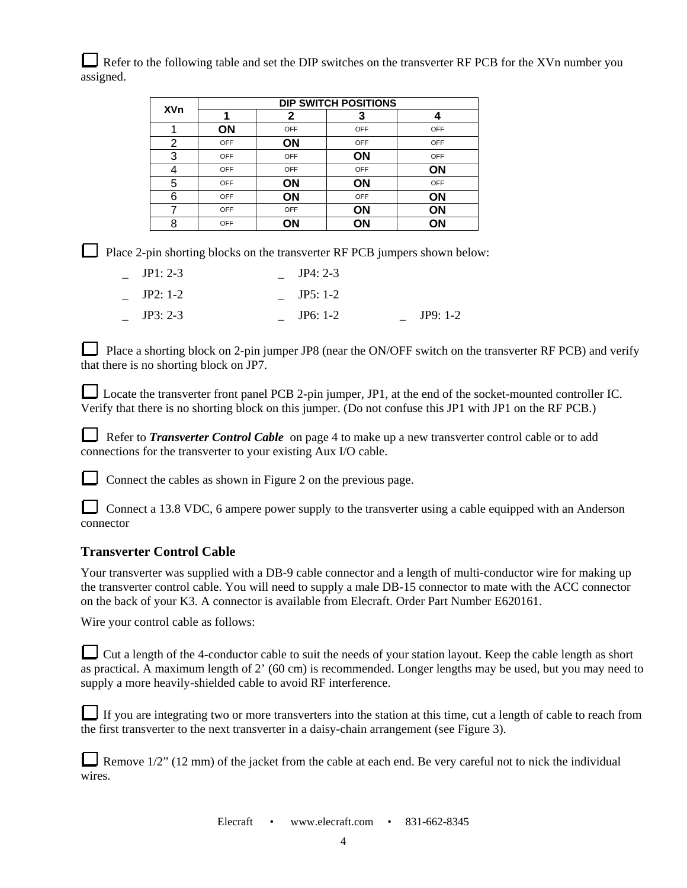Refer to the following table and set the DIP switches on the transverter RF PCB for the XVn number you assigned.

|            | <b>DIP SWITCH POSITIONS</b> |            |           |           |  |
|------------|-----------------------------|------------|-----------|-----------|--|
| <b>XVn</b> |                             | 2          | З         |           |  |
|            | ΟN                          | OFF        | OFF       | OFF       |  |
| 2          | OFF                         | ON         | OFF       | OFF       |  |
| 3          | OFF                         | <b>OFF</b> | <b>ON</b> | OFF       |  |
| 4          | OFF                         | OFF        | OFF       | <b>ON</b> |  |
| 5          | OFF                         | ON         | ON        | OFF       |  |
| 6          | OFF                         | <b>ON</b>  | OFF       | ΟN        |  |
| 7          | OFF                         | OFF        | ON        | ΟN        |  |
| 8          | OFF                         | ΟN         | ON        | ΟN        |  |

Place 2-pin shorting blocks on the transverter RF PCB jumpers shown below:

| $JP1: 2-3$ | $JP4: 2-3$ |            |
|------------|------------|------------|
| $JP2: 1-2$ | $JP5:1-2$  |            |
| $JP3: 2-3$ | $JP6: 1-2$ | $JP9: 1-2$ |

Place a shorting block on 2-pin jumper JP8 (near the ON/OFF switch on the transverter RF PCB) and verify that there is no shorting block on JP7.

Locate the transverter front panel PCB 2-pin jumper, JP1, at the end of the socket-mounted controller IC. Verify that there is no shorting block on this jumper. (Do not confuse this JP1 with JP1 on the RF PCB.)

 Refer to *Transverter Control Cable* on page 4 to make up a new transverter control cable or to add connections for the transverter to your existing Aux I/O cable.

Connect the cables as shown in Figure 2 on the previous page.

Connect a 13.8 VDC, 6 ampere power supply to the transverter using a cable equipped with an Anderson connector

#### **Transverter Control Cable**

Your transverter was supplied with a DB-9 cable connector and a length of multi-conductor wire for making up the transverter control cable. You will need to supply a male DB-15 connector to mate with the ACC connector on the back of your K3. A connector is available from Elecraft. Order Part Number E620161.

Wire your control cable as follows:

Cut a length of the 4-conductor cable to suit the needs of your station layout. Keep the cable length as short as practical. A maximum length of 2' (60 cm) is recommended. Longer lengths may be used, but you may need to supply a more heavily-shielded cable to avoid RF interference.

|  | If you are integrating two or more transverters into the station at this time, cut a length of cable to reach from |
|--|--------------------------------------------------------------------------------------------------------------------|
|  | the first transverter to the next transverter in a daisy-chain arrangement (see Figure 3).                         |

Remove  $1/2$ " (12 mm) of the jacket from the cable at each end. Be very careful not to nick the individual wires.